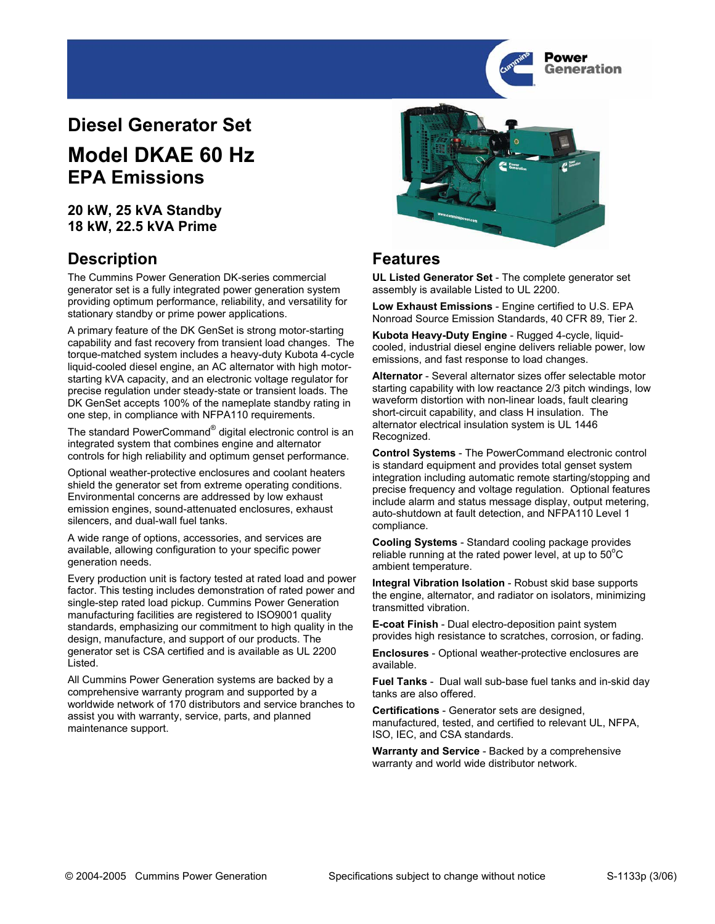

# **Diesel Generator Set**

# **Model DKAE 60 Hz EPA Emissions**

### **20 kW, 25 kVA Standby 18 kW, 22.5 kVA Prime**

### **Description Features**

The Cummins Power Generation DK-series commercial generator set is a fully integrated power generation system providing optimum performance, reliability, and versatility for stationary standby or prime power applications.

A primary feature of the DK GenSet is strong motor-starting capability and fast recovery from transient load changes. The torque-matched system includes a heavy-duty Kubota 4-cycle liquid-cooled diesel engine, an AC alternator with high motorstarting kVA capacity, and an electronic voltage regulator for precise regulation under steady-state or transient loads. The DK GenSet accepts 100% of the nameplate standby rating in one step, in compliance with NFPA110 requirements.

The standard PowerCommand® digital electronic control is an integrated system that combines engine and alternator controls for high reliability and optimum genset performance.

Optional weather-protective enclosures and coolant heaters shield the generator set from extreme operating conditions. Environmental concerns are addressed by low exhaust emission engines, sound-attenuated enclosures, exhaust silencers, and dual-wall fuel tanks.

A wide range of options, accessories, and services are available, allowing configuration to your specific power generation needs.

Every production unit is factory tested at rated load and power factor. This testing includes demonstration of rated power and single-step rated load pickup. Cummins Power Generation manufacturing facilities are registered to ISO9001 quality standards, emphasizing our commitment to high quality in the design, manufacture, and support of our products. The generator set is CSA certified and is available as UL 2200 Listed.

All Cummins Power Generation systems are backed by a comprehensive warranty program and supported by a worldwide network of 170 distributors and service branches to assist you with warranty, service, parts, and planned maintenance support.



**UL Listed Generator Set** - The complete generator set assembly is available Listed to UL 2200.

**Low Exhaust Emissions** - Engine certified to U.S. EPA Nonroad Source Emission Standards, 40 CFR 89, Tier 2.

**Kubota Heavy-Duty Engine** - Rugged 4-cycle, liquidcooled, industrial diesel engine delivers reliable power, low emissions, and fast response to load changes.

**Alternator** - Several alternator sizes offer selectable motor starting capability with low reactance 2/3 pitch windings, low waveform distortion with non-linear loads, fault clearing short-circuit capability, and class H insulation. The alternator electrical insulation system is UL 1446 Recognized.

**Control Systems** - The PowerCommand electronic control is standard equipment and provides total genset system integration including automatic remote starting/stopping and precise frequency and voltage regulation. Optional features include alarm and status message display, output metering, auto-shutdown at fault detection, and NFPA110 Level 1 compliance.

**Cooling Systems** - Standard cooling package provides reliable running at the rated power level, at up to  $50^{\circ}$ C ambient temperature.

**Integral Vibration Isolation** - Robust skid base supports the engine, alternator, and radiator on isolators, minimizing transmitted vibration.

**E-coat Finish** - Dual electro-deposition paint system provides high resistance to scratches, corrosion, or fading.

**Enclosures** - Optional weather-protective enclosures are available.

**Fuel Tanks** - Dual wall sub-base fuel tanks and in-skid day tanks are also offered.

**Certifications** - Generator sets are designed, manufactured, tested, and certified to relevant UL, NFPA, ISO, IEC, and CSA standards.

**Warranty and Service** - Backed by a comprehensive warranty and world wide distributor network.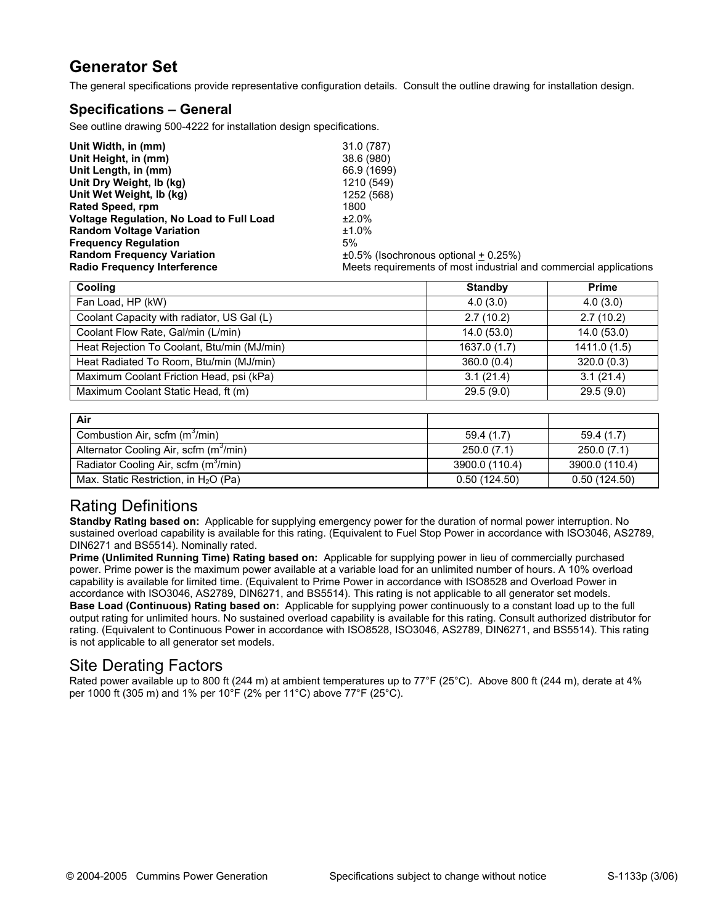### **Generator Set**

The general specifications provide representative configuration details. Consult the outline drawing for installation design.

#### **Specifications – General**

See outline drawing 500-4222 for installation design specifications.

| Unit Width, in (mm)                             | 31.0 (787)                                                        |
|-------------------------------------------------|-------------------------------------------------------------------|
| Unit Height, in (mm)                            | 38.6 (980)                                                        |
| Unit Length, in (mm)                            | 66.9 (1699)                                                       |
| Unit Dry Weight, Ib (kg)                        | 1210 (549)                                                        |
| Unit Wet Weight, Ib (kg)                        | 1252 (568)                                                        |
| Rated Speed, rpm                                | 1800                                                              |
| <b>Voltage Regulation, No Load to Full Load</b> | ±2.0%                                                             |
| <b>Random Voltage Variation</b>                 | $±1.0\%$                                                          |
| <b>Frequency Requlation</b>                     | 5%                                                                |
| <b>Random Frequency Variation</b>               | $\pm 0.5\%$ (Isochronous optional + 0.25%)                        |
| <b>Radio Frequency Interference</b>             | Meets requirements of most industrial and commercial applications |

| Cooling                                     | <b>Standby</b> | <b>Prime</b> |
|---------------------------------------------|----------------|--------------|
| Fan Load, HP (kW)                           | 4.0(3.0)       | 4.0(3.0)     |
| Coolant Capacity with radiator, US Gal (L)  | 2.7(10.2)      | 2.7(10.2)    |
| Coolant Flow Rate, Gal/min (L/min)          | 14.0(53.0)     | 14.0 (53.0)  |
| Heat Rejection To Coolant, Btu/min (MJ/min) | 1637.0 (1.7)   | 1411.0 (1.5) |
| Heat Radiated To Room, Btu/min (MJ/min)     | 360.0(0.4)     | 320.0(0.3)   |
| Maximum Coolant Friction Head, psi (kPa)    | 3.1(21.4)      | 3.1(21.4)    |
| Maximum Coolant Static Head, ft (m)         | 29.5(9.0)      | 29.5(9.0)    |

| Air                                                |                |                |
|----------------------------------------------------|----------------|----------------|
| Combustion Air, scfm (m <sup>3</sup> /min)         | 59.4(1.7)      | 59.4(1.7)      |
| Alternator Cooling Air, scfm (m <sup>3</sup> /min) | 250.0 (7.1)    | 250.0(7.1)     |
| Radiator Cooling Air, scfm (m <sup>3</sup> /min)   | 3900.0 (110.4) | 3900.0 (110.4) |
| Max. Static Restriction, in $H_2O$ (Pa)            | 0.50(124.50)   | 0.50(124.50)   |

### Rating Definitions

**Standby Rating based on:** Applicable for supplying emergency power for the duration of normal power interruption. No sustained overload capability is available for this rating. (Equivalent to Fuel Stop Power in accordance with ISO3046, AS2789, DIN6271 and BS5514). Nominally rated.

**Prime (Unlimited Running Time) Rating based on:** Applicable for supplying power in lieu of commercially purchased power. Prime power is the maximum power available at a variable load for an unlimited number of hours. A 10% overload capability is available for limited time. (Equivalent to Prime Power in accordance with ISO8528 and Overload Power in accordance with ISO3046, AS2789, DIN6271, and BS5514). This rating is not applicable to all generator set models. **Base Load (Continuous) Rating based on:** Applicable for supplying power continuously to a constant load up to the full output rating for unlimited hours. No sustained overload capability is available for this rating. Consult authorized distributor for rating. (Equivalent to Continuous Power in accordance with ISO8528, ISO3046, AS2789, DIN6271, and BS5514). This rating is not applicable to all generator set models.

### Site Derating Factors

Rated power available up to 800 ft (244 m) at ambient temperatures up to 77°F (25°C). Above 800 ft (244 m), derate at 4% per 1000 ft (305 m) and 1% per 10°F (2% per 11°C) above 77°F (25°C).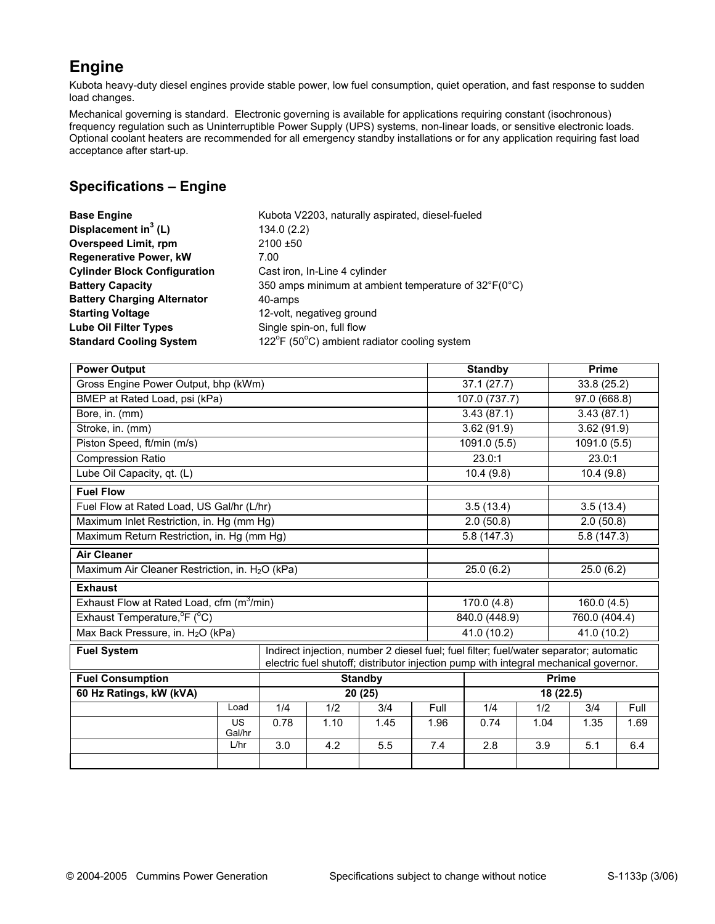### **Engine**

Kubota heavy-duty diesel engines provide stable power, low fuel consumption, quiet operation, and fast response to sudden load changes.

Mechanical governing is standard. Electronic governing is available for applications requiring constant (isochronous) frequency regulation such as Uninterruptible Power Supply (UPS) systems, non-linear loads, or sensitive electronic loads. Optional coolant heaters are recommended for all emergency standby installations or for any application requiring fast load acceptance after start-up.

### **Specifications – Engine**

| Kubota V2203, naturally aspirated, diesel-fueled                     |
|----------------------------------------------------------------------|
| 134.0(2.2)                                                           |
| $2100 + 50$                                                          |
|                                                                      |
| Cast iron, In-Line 4 cylinder                                        |
| 350 amps minimum at ambient temperature of $32^{\circ}F(0^{\circ}C)$ |
| 40-amps                                                              |
| 12-volt, negativeg ground                                            |
| Single spin-on, full flow                                            |
| 122°F (50°C) ambient radiator cooling system                         |
|                                                                      |

| <b>Power Output</b>                                                                                                                                                                                  |                     |                         |      |                |           | <b>Standby</b>             |              | <b>Prime</b>  |      |  |
|------------------------------------------------------------------------------------------------------------------------------------------------------------------------------------------------------|---------------------|-------------------------|------|----------------|-----------|----------------------------|--------------|---------------|------|--|
| Gross Engine Power Output, bhp (kWm)                                                                                                                                                                 |                     | $\overline{37.1(27.7)}$ |      | 33.8 (25.2)    |           |                            |              |               |      |  |
| BMEP at Rated Load, psi (kPa)                                                                                                                                                                        |                     | 107.0 (737.7)           |      | 97.0(668.8)    |           |                            |              |               |      |  |
| Bore, in. (mm)                                                                                                                                                                                       |                     |                         |      |                |           | 3.43(87.1)                 |              | 3.43(87.1)    |      |  |
| Stroke, in. (mm)                                                                                                                                                                                     |                     |                         |      |                |           | 3.62(91.9)                 |              | 3.62(91.9)    |      |  |
| Piston Speed, ft/min (m/s)                                                                                                                                                                           |                     |                         |      |                |           | 1091.0 (5.5)               |              | 1091.0 (5.5)  |      |  |
| <b>Compression Ratio</b>                                                                                                                                                                             |                     |                         |      |                |           | 23.0:1                     |              | 23.0:1        |      |  |
| Lube Oil Capacity, qt. (L)                                                                                                                                                                           |                     |                         |      |                |           | 10.4(9.8)                  |              | 10.4(9.8)     |      |  |
| <b>Fuel Flow</b>                                                                                                                                                                                     |                     |                         |      |                |           |                            |              |               |      |  |
| Fuel Flow at Rated Load, US Gal/hr (L/hr)                                                                                                                                                            |                     |                         |      |                |           | 3.5(13.4)                  |              | 3.5(13.4)     |      |  |
| Maximum Inlet Restriction, in. Hg (mm Hg)                                                                                                                                                            |                     |                         |      |                |           | 2.0(50.8)                  |              | 2.0(50.8)     |      |  |
| Maximum Return Restriction, in. Hg (mm Hg)                                                                                                                                                           |                     |                         |      |                |           | 5.8(147.3)                 |              | 5.8(147.3)    |      |  |
| <b>Air Cleaner</b>                                                                                                                                                                                   |                     |                         |      |                |           |                            |              |               |      |  |
| Maximum Air Cleaner Restriction, in. H <sub>2</sub> O (kPa)                                                                                                                                          |                     |                         |      |                |           | 25.0(6.2)                  |              | 25.0(6.2)     |      |  |
| <b>Exhaust</b>                                                                                                                                                                                       |                     |                         |      |                |           |                            |              |               |      |  |
| Exhaust Flow at Rated Load, cfm $(m^3/m)$                                                                                                                                                            |                     |                         |      |                |           | 170.0(4.8)                 |              | 160.0(4.5)    |      |  |
| Exhaust Temperature, <sup>o</sup> F (°C)                                                                                                                                                             |                     |                         |      |                |           | 840.0 (448.9)              |              | 760.0 (404.4) |      |  |
| Max Back Pressure, in. H <sub>2</sub> O (kPa)                                                                                                                                                        |                     |                         |      |                |           | 41.0 (10.2)<br>41.0 (10.2) |              |               |      |  |
| Indirect injection, number 2 diesel fuel; fuel filter; fuel/water separator; automatic<br><b>Fuel System</b><br>electric fuel shutoff; distributor injection pump with integral mechanical governor. |                     |                         |      |                |           |                            |              |               |      |  |
| <b>Fuel Consumption</b>                                                                                                                                                                              |                     |                         |      | <b>Standby</b> |           |                            | <b>Prime</b> |               |      |  |
| 60 Hz Ratings, kW (kVA)                                                                                                                                                                              |                     |                         |      | 20(25)         | 18 (22.5) |                            |              |               |      |  |
|                                                                                                                                                                                                      | Load                | 1/4                     | 1/2  | 3/4            | Full      | 1/4                        | 1/2          | 3/4           | Full |  |
|                                                                                                                                                                                                      | <b>US</b><br>Gal/hr | 0.78                    | 1.10 | 1.45           | 1.96      | 0.74                       | 1.04         | 1.35          | 1.69 |  |
|                                                                                                                                                                                                      | L/hr                | $\overline{3.0}$        | 4.2  | 5.5            | 7.4       | 2.8                        | 3.9          | 5.1           | 6.4  |  |
|                                                                                                                                                                                                      |                     |                         |      |                |           |                            |              |               |      |  |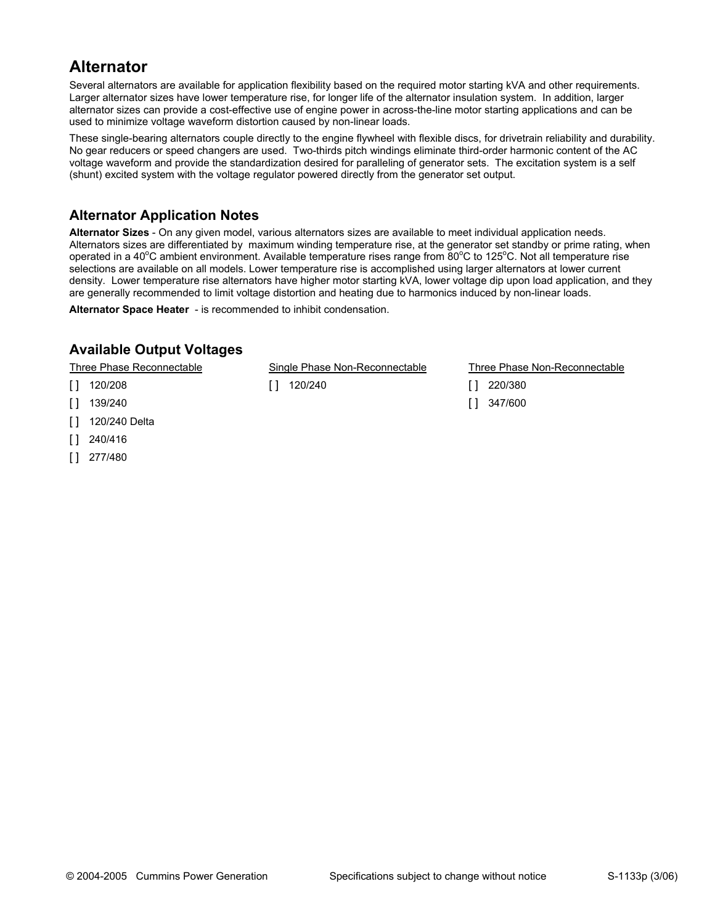### **Alternator**

Several alternators are available for application flexibility based on the required motor starting kVA and other requirements. Larger alternator sizes have lower temperature rise, for longer life of the alternator insulation system. In addition, larger alternator sizes can provide a cost-effective use of engine power in across-the-line motor starting applications and can be used to minimize voltage waveform distortion caused by non-linear loads.

These single-bearing alternators couple directly to the engine flywheel with flexible discs, for drivetrain reliability and durability. No gear reducers or speed changers are used. Two-thirds pitch windings eliminate third-order harmonic content of the AC voltage waveform and provide the standardization desired for paralleling of generator sets. The excitation system is a self (shunt) excited system with the voltage regulator powered directly from the generator set output.

### **Alternator Application Notes**

**Alternator Sizes** - On any given model, various alternators sizes are available to meet individual application needs. Alternators sizes are differentiated by maximum winding temperature rise, at the generator set standby or prime rating, when operated in a 40°C ambient environment. Available temperature rises range from 80°C to 125°C. Not all temperature rise selections are available on all models. Lower temperature rise is accomplished using larger alternators at lower current density. Lower temperature rise alternators have higher motor starting kVA, lower voltage dip upon load application, and they are generally recommended to limit voltage distortion and heating due to harmonics induced by non-linear loads.

**Alternator Space Heater** - is recommended to inhibit condensation.

### **Available Output Voltages**

- [ ] 120/208 [ ] 120/240 [ ] 220/380
- [ ] 139/240 [ ] 347/600
- [ ] 120/240 Delta
- [ ] 240/416
- [ ] 277/480

Three Phase Reconnectable Single Phase Non-Reconnectable Three Phase Non-Reconnectable

- 
-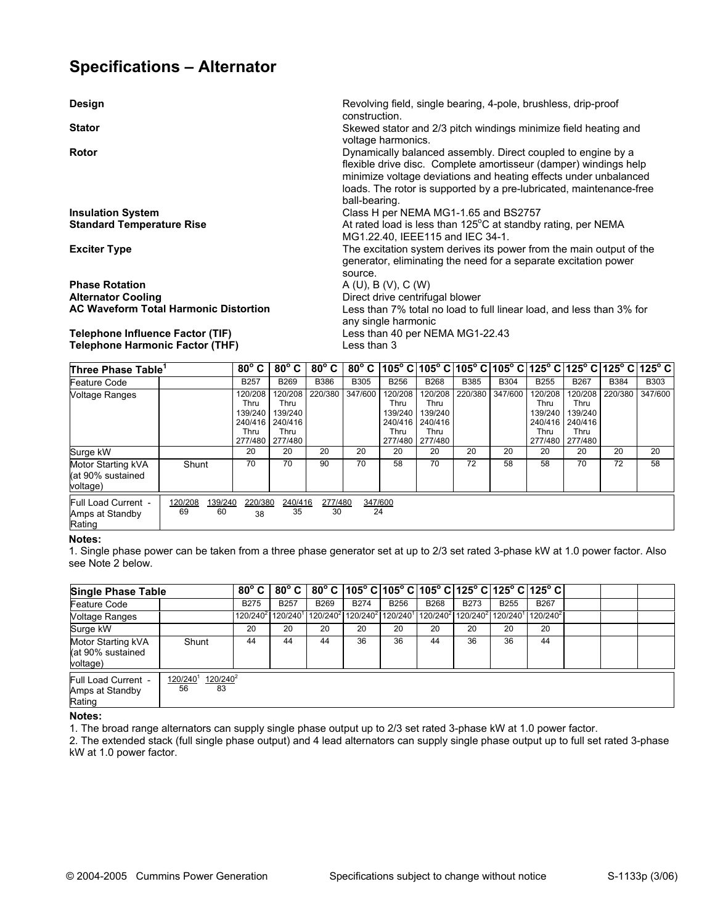### **Specifications – Alternator**

**Design** Revolving field, single bearing, 4-pole, brushless, drip-proof

**Stator Stator Skewed stator and 2/3 pitch windings minimize field heating and <b>Skewed stator** and 2/3 pitch windings minimize field heating and

**Rotor Rotor Dynamically balanced assembly. Direct coupled to engine by a <b>Dynamically balanced** assembly. Direct coupled to engine by a

**Phase Rotation** <br> **A (U), B (V), C (W)**<br> **Alternator Cooling Community Contribution in the United States of Direct drive centrifu Alternator Cooling** <br>**AC Waveform Total Harmonic Distortion Direct drive centrifugal blower**<br>
Less than 7% total no load to f

#### **Telephone Influence Factor (TIF)** Less than 40 per NEMA MG1-22.43 **Telephone Harmonic Factor (THF)**

loads. The rotor is supported by a pre-lubricated, maintenance-free ball-bearing. **Insulation System Insulation System Class H per NEMA MG1-1.65 and BS2757** Standard Temperature Rise **At all and Standard Temperature Rise At rated load is less than 125<sup>°</sup>C at standby rating, per NEMA** MG1.22.40, IEEE115 and IEC 34-1. **Exciter Type The excitation system derives its power from the main output of the** main output of the generator, eliminating the need for a separate excitation power source. Less than 7% total no load to full linear load, and less than 3% for any single harmonic

flexible drive disc. Complete amortisseur (damper) windings help minimize voltage deviations and heating effects under unbalanced

| Three Phase Table <sup>1</sup>                       |                                | $80^{\circ}$ C $ $                            |                                                                  | $80^{\circ}$ C $\mid 80^{\circ}$ C $\mid$ |               |                                                          |                                                          |             |             |                                                          |                                                          | 80° C   105° C   105° C   105° C   105° C   125° C   125° C   125° C   125° C |             |
|------------------------------------------------------|--------------------------------|-----------------------------------------------|------------------------------------------------------------------|-------------------------------------------|---------------|----------------------------------------------------------|----------------------------------------------------------|-------------|-------------|----------------------------------------------------------|----------------------------------------------------------|-------------------------------------------------------------------------------|-------------|
| Feature Code                                         |                                | <b>B257</b>                                   | <b>B269</b>                                                      | <b>B386</b>                               | <b>B305</b>   | <b>B256</b>                                              | <b>B268</b>                                              | <b>B385</b> | <b>B304</b> | <b>B255</b>                                              | <b>B267</b>                                              | <b>B384</b>                                                                   | <b>B303</b> |
| Voltage Ranges                                       |                                | 120/208<br>Thru<br>139/240<br>240/416<br>Thru | 120/208<br>Thru<br>139/240<br>240/416<br>Thru<br>277/480 277/480 | 220/380                                   | 347/600       | 120/208<br>Thru<br>139/240<br>240/416<br>Thru<br>277/480 | 120/208<br>Thru<br>139/240<br>240/416<br>Thru<br>277/480 | 220/380     | 347/600     | 120/208<br>Thru<br>139/240<br>240/416<br>Thru<br>277/480 | 120/208<br>Thru<br>139/240<br>240/416<br>Thru<br>277/480 | 220/380                                                                       | 347/600     |
| Surge kW                                             |                                | 20                                            | 20                                                               | 20                                        | 20            | 20                                                       | 20                                                       | 20          | 20          | 20                                                       | 20                                                       | 20                                                                            | 20          |
| Motor Starting kVA<br>l(at 90% sustained<br>voltage) | Shunt                          | 70                                            | 70                                                               | 90                                        | 70            | 58                                                       | 70                                                       | 72          | 58          | 58                                                       | 70                                                       | 72                                                                            | 58          |
| Full Load Current -<br>Amps at Standby<br>Rating     | 120/208<br>139/240<br>69<br>60 | 220/380<br>38                                 | 240/416<br>35                                                    | 277/480<br>30                             | 347/600<br>24 |                                                          |                                                          |             |             |                                                          |                                                          |                                                                               |             |

construction.

voltage harmonics.

#### **Notes:**

1. Single phase power can be taken from a three phase generator set at up to 2/3 set rated 3-phase kW at 1.0 power factor. Also see Note 2 below.

| <b>Single Phase Table</b>                           |                                    |             |             |                                                                                                                                                                         |             |             |             |             |             | $80^{\circ}$ C $ 80^{\circ}$ C $ 80^{\circ}$ C $ 105^{\circ}$ C $ 105^{\circ}$ C $ 105^{\circ}$ C $ 125^{\circ}$ C $ 125^{\circ}$ C $ 125^{\circ}$ C $ $ |  |  |
|-----------------------------------------------------|------------------------------------|-------------|-------------|-------------------------------------------------------------------------------------------------------------------------------------------------------------------------|-------------|-------------|-------------|-------------|-------------|----------------------------------------------------------------------------------------------------------------------------------------------------------|--|--|
| Feature Code                                        |                                    | <b>B275</b> | <b>B257</b> | <b>B269</b>                                                                                                                                                             | <b>B274</b> | <b>B256</b> | <b>B268</b> | <b>B273</b> | <b>B255</b> | <b>B267</b>                                                                                                                                              |  |  |
| <b>Voltage Ranges</b>                               |                                    |             |             | 120/240 <sup>2</sup> 120/240 <sup>1</sup> 120/240 <sup>2</sup> 120/240 <sup>2</sup> 120/240 <sup>1</sup> 120/240 <sup>2</sup> 120/240 <sup>2</sup> 120/240 <sup>1</sup> |             |             |             |             |             | $120/240^2$                                                                                                                                              |  |  |
| Surge kW                                            |                                    | 20          | 20          | 20                                                                                                                                                                      | 20          | 20          | 20          | 20          | 20          | 20                                                                                                                                                       |  |  |
| Motor Starting kVA<br>(at 90% sustained<br>voltage) | Shunt                              | 44          | 44          | 44                                                                                                                                                                      | 36          | 36          | 44          | 36          | 36          | 44                                                                                                                                                       |  |  |
| Full Load Current -<br>Amps at Standby<br>Rating    | $120/240^2$<br>120/240<br>83<br>56 |             |             |                                                                                                                                                                         |             |             |             |             |             |                                                                                                                                                          |  |  |

**Notes:** 

1. The broad range alternators can supply single phase output up to 2/3 set rated 3-phase kW at 1.0 power factor.

2. The extended stack (full single phase output) and 4 lead alternators can supply single phase output up to full set rated 3-phase kW at 1.0 power factor.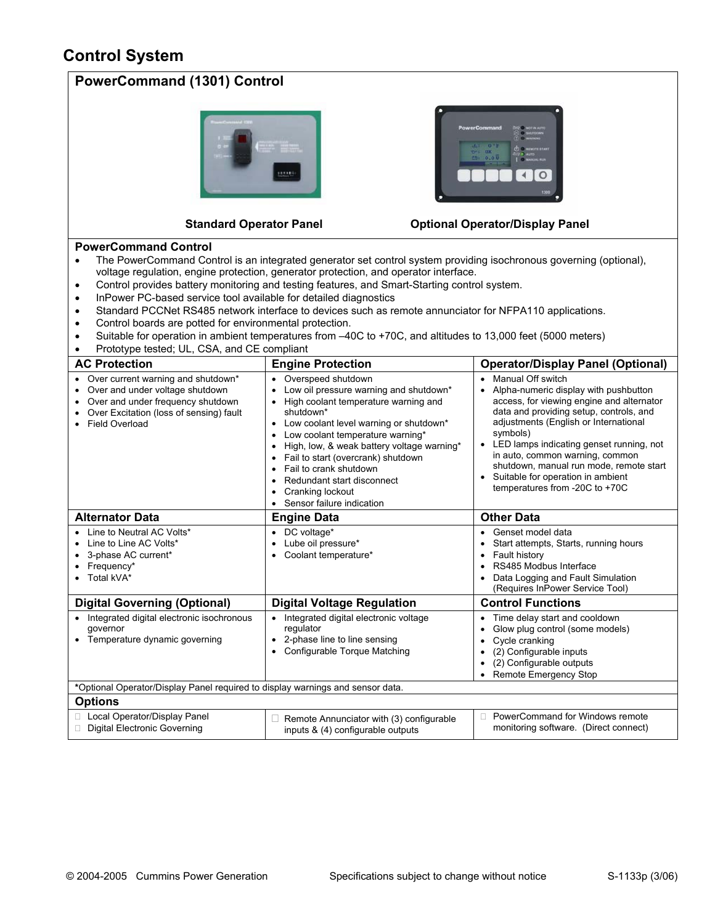### **Control System**

| <b>PowerCommand (1301) Control</b>                                                                                                                                                                                                                                                                                                                                                                                                                                                                                                                                                                                                                                                                                                                                                        |                                                                                                                                                                                                                                                                                                                                                                                                                            |                                                                                                                                                                                                                                                                                                                                                                                                            |  |  |  |  |  |  |
|-------------------------------------------------------------------------------------------------------------------------------------------------------------------------------------------------------------------------------------------------------------------------------------------------------------------------------------------------------------------------------------------------------------------------------------------------------------------------------------------------------------------------------------------------------------------------------------------------------------------------------------------------------------------------------------------------------------------------------------------------------------------------------------------|----------------------------------------------------------------------------------------------------------------------------------------------------------------------------------------------------------------------------------------------------------------------------------------------------------------------------------------------------------------------------------------------------------------------------|------------------------------------------------------------------------------------------------------------------------------------------------------------------------------------------------------------------------------------------------------------------------------------------------------------------------------------------------------------------------------------------------------------|--|--|--|--|--|--|
| werCommar<br>0 <sub>1</sub><br>0.00<br><b>Standard Operator Panel</b><br><b>Optional Operator/Display Panel</b>                                                                                                                                                                                                                                                                                                                                                                                                                                                                                                                                                                                                                                                                           |                                                                                                                                                                                                                                                                                                                                                                                                                            |                                                                                                                                                                                                                                                                                                                                                                                                            |  |  |  |  |  |  |
| <b>PowerCommand Control</b><br>$\bullet$                                                                                                                                                                                                                                                                                                                                                                                                                                                                                                                                                                                                                                                                                                                                                  |                                                                                                                                                                                                                                                                                                                                                                                                                            |                                                                                                                                                                                                                                                                                                                                                                                                            |  |  |  |  |  |  |
| The PowerCommand Control is an integrated generator set control system providing isochronous governing (optional),<br>voltage regulation, engine protection, generator protection, and operator interface.<br>Control provides battery monitoring and testing features, and Smart-Starting control system.<br>$\bullet$<br>InPower PC-based service tool available for detailed diagnostics<br>$\bullet$<br>Standard PCCNet RS485 network interface to devices such as remote annunciator for NFPA110 applications.<br>$\bullet$<br>Control boards are potted for environmental protection.<br>$\bullet$<br>Suitable for operation in ambient temperatures from -40C to +70C, and altitudes to 13,000 feet (5000 meters)<br>$\bullet$<br>Prototype tested; UL, CSA, and CE compliant<br>٠ |                                                                                                                                                                                                                                                                                                                                                                                                                            |                                                                                                                                                                                                                                                                                                                                                                                                            |  |  |  |  |  |  |
| <b>AC Protection</b>                                                                                                                                                                                                                                                                                                                                                                                                                                                                                                                                                                                                                                                                                                                                                                      | <b>Engine Protection</b>                                                                                                                                                                                                                                                                                                                                                                                                   | <b>Operator/Display Panel (Optional)</b>                                                                                                                                                                                                                                                                                                                                                                   |  |  |  |  |  |  |
| Over current warning and shutdown*<br>٠<br>Over and under voltage shutdown<br>Over and under frequency shutdown<br>$\bullet$<br>Over Excitation (loss of sensing) fault<br><b>Field Overload</b>                                                                                                                                                                                                                                                                                                                                                                                                                                                                                                                                                                                          | • Overspeed shutdown<br>Low oil pressure warning and shutdown*<br>• High coolant temperature warning and<br>shutdown*<br>Low coolant level warning or shutdown*<br>Low coolant temperature warning*<br>High, low, & weak battery voltage warning*<br>Fail to start (overcrank) shutdown<br>$\bullet$<br>Fail to crank shutdown<br>Redundant start disconnect<br>Cranking lockout<br>$\bullet$<br>Sensor failure indication | Manual Off switch<br>Alpha-numeric display with pushbutton<br>access, for viewing engine and alternator<br>data and providing setup, controls, and<br>adjustments (English or International<br>symbols)<br>• LED lamps indicating genset running, not<br>in auto, common warning, common<br>shutdown, manual run mode, remote start<br>Suitable for operation in ambient<br>temperatures from -20C to +70C |  |  |  |  |  |  |
| <b>Alternator Data</b>                                                                                                                                                                                                                                                                                                                                                                                                                                                                                                                                                                                                                                                                                                                                                                    | <b>Engine Data</b>                                                                                                                                                                                                                                                                                                                                                                                                         | <b>Other Data</b>                                                                                                                                                                                                                                                                                                                                                                                          |  |  |  |  |  |  |
| Line to Neutral AC Volts*<br>Line to Line AC Volts*<br>٠<br>3-phase AC current*<br>$\bullet$<br>Frequency*<br>Total kVA*<br>$\bullet$                                                                                                                                                                                                                                                                                                                                                                                                                                                                                                                                                                                                                                                     | • DC voltage*<br>Genset model data<br>Lube oil pressure*<br>Start attempts, Starts, running hours<br>Coolant temperature*<br>Fault history<br>$\bullet$<br>RS485 Modbus Interface<br>Data Logging and Fault Simulation<br>(Requires InPower Service Tool)                                                                                                                                                                  |                                                                                                                                                                                                                                                                                                                                                                                                            |  |  |  |  |  |  |
| <b>Digital Governing (Optional)</b>                                                                                                                                                                                                                                                                                                                                                                                                                                                                                                                                                                                                                                                                                                                                                       | <b>Digital Voltage Regulation</b><br><b>Control Functions</b>                                                                                                                                                                                                                                                                                                                                                              |                                                                                                                                                                                                                                                                                                                                                                                                            |  |  |  |  |  |  |
| • Integrated digital electronic isochronous<br>Integrated digital electronic voltage<br>Time delay start and cooldown<br>٠<br>regulator<br>Glow plug control (some models)<br>governor<br>Temperature dynamic governing<br>• 2-phase line to line sensing<br>Cycle cranking<br>$\bullet$<br>Configurable Torque Matching<br>(2) Configurable inputs<br>٠<br>(2) Configurable outputs<br>Remote Emergency Stop                                                                                                                                                                                                                                                                                                                                                                             |                                                                                                                                                                                                                                                                                                                                                                                                                            |                                                                                                                                                                                                                                                                                                                                                                                                            |  |  |  |  |  |  |
| *Optional Operator/Display Panel required to display warnings and sensor data.                                                                                                                                                                                                                                                                                                                                                                                                                                                                                                                                                                                                                                                                                                            |                                                                                                                                                                                                                                                                                                                                                                                                                            |                                                                                                                                                                                                                                                                                                                                                                                                            |  |  |  |  |  |  |
| <b>Options</b>                                                                                                                                                                                                                                                                                                                                                                                                                                                                                                                                                                                                                                                                                                                                                                            |                                                                                                                                                                                                                                                                                                                                                                                                                            |                                                                                                                                                                                                                                                                                                                                                                                                            |  |  |  |  |  |  |
| □ Local Operator/Display Panel<br>Digital Electronic Governing                                                                                                                                                                                                                                                                                                                                                                                                                                                                                                                                                                                                                                                                                                                            | Remote Annunciator with (3) configurable<br>inputs & (4) configurable outputs                                                                                                                                                                                                                                                                                                                                              | PowerCommand for Windows remote<br>monitoring software. (Direct connect)                                                                                                                                                                                                                                                                                                                                   |  |  |  |  |  |  |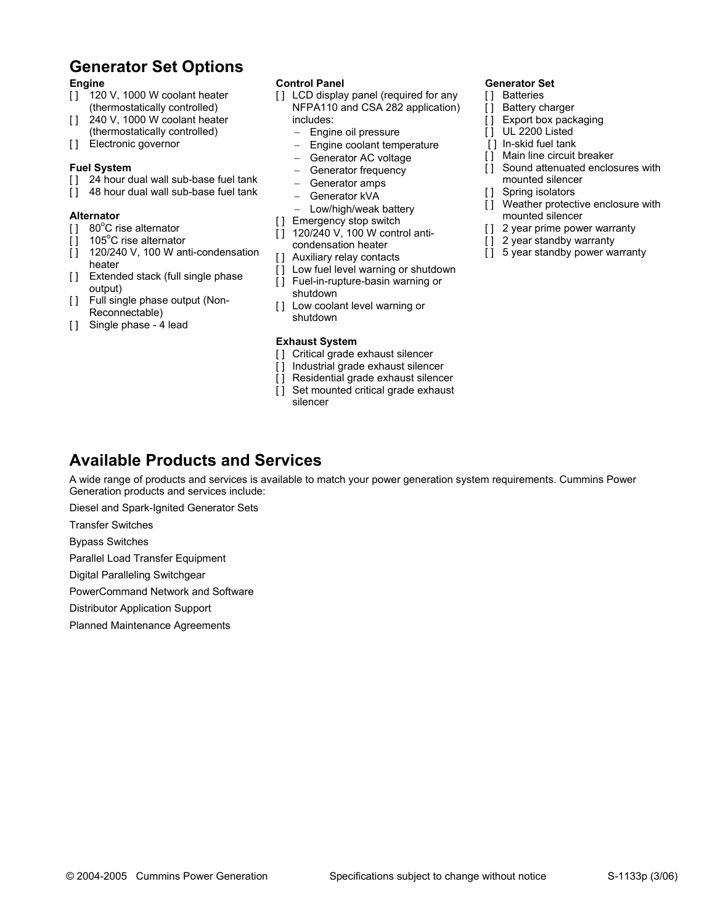## **Generator Set Options**

#### **Engine**

- [ ] 120 V, 1000 W coolant heater (thermostatically controlled)
- [ ] 240 V, 1000 W coolant heater (thermostatically controlled)
- [1] Electronic governor

#### **Fuel System**

- [ ] 24 hour dual wall sub-base fuel tank
- [] 48 hour dual wall sub-base fuel tank

#### **Alternator**

- [] 80°C rise alternator
- $\begin{bmatrix} 1 & 105^{\circ} \text{C} \end{bmatrix}$  rise alternator
- [] 120/240 V, 100 W anti-condensation heater
- [] Extended stack (full single phase output)
- [ ] Full single phase output (Non-Reconnectable)
- [] Single phase 4 lead

#### **Control Panel**

- [] LCD display panel (required for any NFPA110 and CSA 282 application) includes:
	- − Engine oil pressure
	- Engine coolant temperature
	- Generator AC voltage
	- Generator frequency
	- − Generator amps
	- − Generator kVA
	- − Low/high/weak battery
- [ ] Emergency stop switch
- [ ] 120/240 V, 100 W control anticondensation heater
- [ ] Auxiliary relay contacts
- [] Low fuel level warning or shutdown
- [] Fuel-in-rupture-basin warning or
	- shutdown
- [ ] Low coolant level warning or shutdown

#### **Exhaust System**

- [] Critical grade exhaust silencer
- [ ] Industrial grade exhaust silencer
- [] Residential grade exhaust silencer
- [ ] Set mounted critical grade exhaust silencer

#### **Generator Set**

- [ ] Batteries
- [ ] Battery charger
- [ ] Export box packaging
- [ ] UL 2200 Listed
- [] In-skid fuel tank
- [ ] Main line circuit breaker
- [] Sound attenuated enclosures with mounted silencer
- [ ] Spring isolators
- [] Weather protective enclosure with mounted silencer
- [ ] 2 year prime power warranty
- [] 2 year standby warranty
- [] 5 year standby power warranty

### **Available Products and Services**

A wide range of products and services is available to match your power generation system requirements. Cummins Power Generation products and services include:

Diesel and Spark-Ignited Generator Sets

Transfer Switches

Bypass Switches

Parallel Load Transfer Equipment

Digital Paralleling Switchgear

PowerCommand Network and Software

Distributor Application Support

Planned Maintenance Agreements